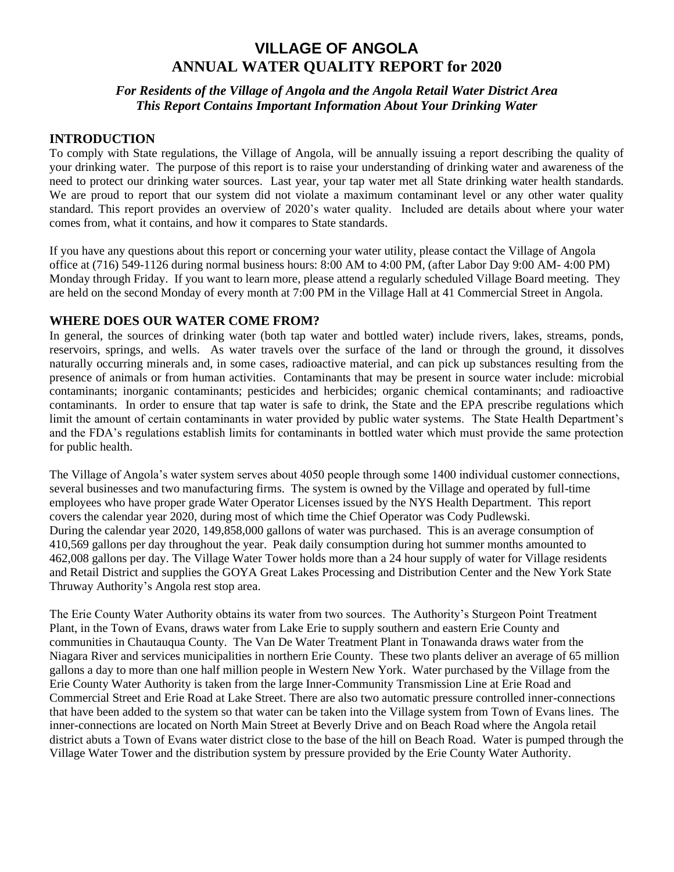# **VILLAGE OF ANGOLA ANNUAL WATER QUALITY REPORT for 2020**

## *For Residents of the Village of Angola and the Angola Retail Water District Area This Report Contains Important Information About Your Drinking Water*

## **INTRODUCTION**

To comply with State regulations, the Village of Angola, will be annually issuing a report describing the quality of your drinking water. The purpose of this report is to raise your understanding of drinking water and awareness of the need to protect our drinking water sources. Last year, your tap water met all State drinking water health standards. We are proud to report that our system did not violate a maximum contaminant level or any other water quality standard. This report provides an overview of 2020's water quality. Included are details about where your water comes from, what it contains, and how it compares to State standards.

If you have any questions about this report or concerning your water utility, please contact the Village of Angola office at (716) 549-1126 during normal business hours: 8:00 AM to 4:00 PM, (after Labor Day 9:00 AM- 4:00 PM) Monday through Friday. If you want to learn more, please attend a regularly scheduled Village Board meeting. They are held on the second Monday of every month at 7:00 PM in the Village Hall at 41 Commercial Street in Angola.

## **WHERE DOES OUR WATER COME FROM?**

In general, the sources of drinking water (both tap water and bottled water) include rivers, lakes, streams, ponds, reservoirs, springs, and wells. As water travels over the surface of the land or through the ground, it dissolves naturally occurring minerals and, in some cases, radioactive material, and can pick up substances resulting from the presence of animals or from human activities. Contaminants that may be present in source water include: microbial contaminants; inorganic contaminants; pesticides and herbicides; organic chemical contaminants; and radioactive contaminants. In order to ensure that tap water is safe to drink, the State and the EPA prescribe regulations which limit the amount of certain contaminants in water provided by public water systems. The State Health Department's and the FDA's regulations establish limits for contaminants in bottled water which must provide the same protection for public health.

The Village of Angola's water system serves about 4050 people through some 1400 individual customer connections, several businesses and two manufacturing firms. The system is owned by the Village and operated by full-time employees who have proper grade Water Operator Licenses issued by the NYS Health Department. This report covers the calendar year 2020, during most of which time the Chief Operator was Cody Pudlewski. During the calendar year 2020, 149,858,000 gallons of water was purchased. This is an average consumption of 410,569 gallons per day throughout the year. Peak daily consumption during hot summer months amounted to 462,008 gallons per day. The Village Water Tower holds more than a 24 hour supply of water for Village residents and Retail District and supplies the GOYA Great Lakes Processing and Distribution Center and the New York State Thruway Authority's Angola rest stop area.

The Erie County Water Authority obtains its water from two sources. The Authority's Sturgeon Point Treatment Plant, in the Town of Evans, draws water from Lake Erie to supply southern and eastern Erie County and communities in Chautauqua County. The Van De Water Treatment Plant in Tonawanda draws water from the Niagara River and services municipalities in northern Erie County. These two plants deliver an average of 65 million gallons a day to more than one half million people in Western New York. Water purchased by the Village from the Erie County Water Authority is taken from the large Inner-Community Transmission Line at Erie Road and Commercial Street and Erie Road at Lake Street. There are also two automatic pressure controlled inner-connections that have been added to the system so that water can be taken into the Village system from Town of Evans lines. The inner-connections are located on North Main Street at Beverly Drive and on Beach Road where the Angola retail district abuts a Town of Evans water district close to the base of the hill on Beach Road. Water is pumped through the Village Water Tower and the distribution system by pressure provided by the Erie County Water Authority.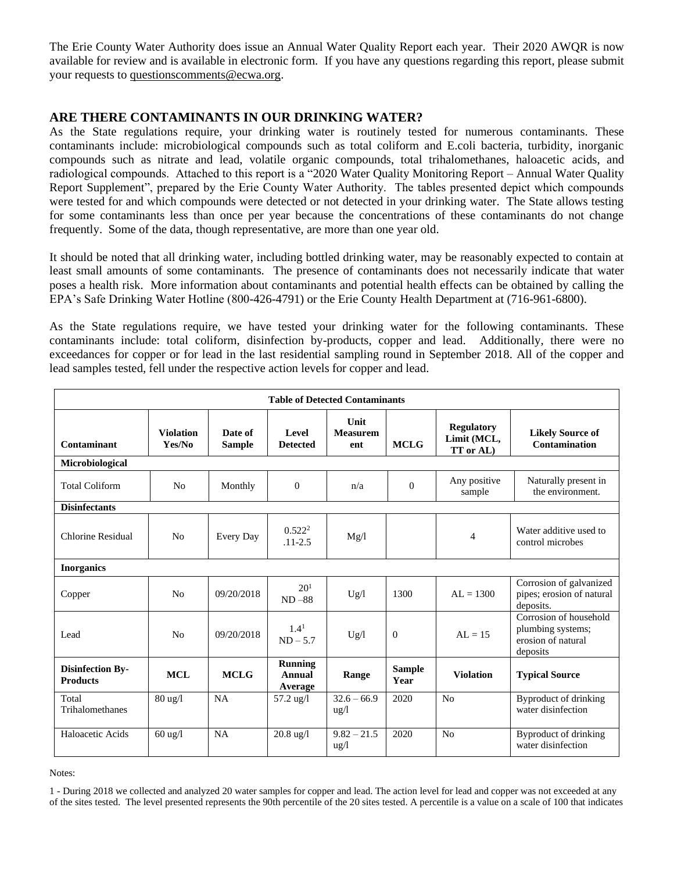The Erie County Water Authority does issue an Annual Water Quality Report each year. Their 2020 AWQR is now available for review and is available in electronic form. If you have any questions regarding this report, please submit your requests to [questionscomments@ecwa.org.](mailto:questionscomments@ecwa.org)

## **ARE THERE CONTAMINANTS IN OUR DRINKING WATER?**

As the State regulations require, your drinking water is routinely tested for numerous contaminants. These contaminants include: microbiological compounds such as total coliform and E.coli bacteria, turbidity, inorganic compounds such as nitrate and lead, volatile organic compounds, total trihalomethanes, haloacetic acids, and radiological compounds. Attached to this report is a "2020 Water Quality Monitoring Report – Annual Water Quality Report Supplement", prepared by the Erie County Water Authority. The tables presented depict which compounds were tested for and which compounds were detected or not detected in your drinking water. The State allows testing for some contaminants less than once per year because the concentrations of these contaminants do not change frequently. Some of the data, though representative, are more than one year old.

It should be noted that all drinking water, including bottled drinking water, may be reasonably expected to contain at least small amounts of some contaminants. The presence of contaminants does not necessarily indicate that water poses a health risk. More information about contaminants and potential health effects can be obtained by calling the EPA's Safe Drinking Water Hotline (800-426-4791) or the Erie County Health Department at (716-961-6800).

As the State regulations require, we have tested your drinking water for the following contaminants. These contaminants include: total coliform, disinfection by-products, copper and lead. Additionally, there were no exceedances for copper or for lead in the last residential sampling round in September 2018. All of the copper and lead samples tested, fell under the respective action levels for copper and lead.

| <b>Table of Detected Contaminants</b>      |                            |                          |                                     |                                       |                       |                                               |                                                                               |
|--------------------------------------------|----------------------------|--------------------------|-------------------------------------|---------------------------------------|-----------------------|-----------------------------------------------|-------------------------------------------------------------------------------|
| Contaminant                                | <b>Violation</b><br>Yes/No | Date of<br><b>Sample</b> | <b>Level</b><br><b>Detected</b>     | <b>Unit</b><br><b>Measurem</b><br>ent | <b>MCLG</b>           | <b>Regulatory</b><br>Limit (MCL,<br>TT or AL) | <b>Likely Source of</b><br><b>Contamination</b>                               |
| Microbiological                            |                            |                          |                                     |                                       |                       |                                               |                                                                               |
| <b>Total Coliform</b>                      | N <sub>0</sub>             | Monthly                  | $\boldsymbol{0}$                    | n/a                                   | $\theta$              | Any positive<br>sample                        | Naturally present in<br>the environment.                                      |
| <b>Disinfectants</b>                       |                            |                          |                                     |                                       |                       |                                               |                                                                               |
| Chlorine Residual                          | N <sub>0</sub>             | Every Day                | 0.522 <sup>2</sup><br>$.11 - 2.5$   | Mg/l                                  |                       | 4                                             | Water additive used to<br>control microbes                                    |
| <b>Inorganics</b>                          |                            |                          |                                     |                                       |                       |                                               |                                                                               |
| Copper                                     | N <sub>0</sub>             | 09/20/2018               | 20 <sup>1</sup><br>$ND - 88$        | Ug/l                                  | 1300                  | $AL = 1300$                                   | Corrosion of galvanized<br>pipes; erosion of natural<br>deposits.             |
| Lead                                       | N <sub>0</sub>             | 09/20/2018               | 1.4 <sup>1</sup><br>$ND - 5.7$      | Ug/l                                  | $\mathbf{0}$          | $AI = 15$                                     | Corrosion of household<br>plumbing systems;<br>erosion of natural<br>deposits |
| <b>Disinfection By-</b><br><b>Products</b> | <b>MCL</b>                 | <b>MCLG</b>              | <b>Running</b><br>Annual<br>Average | Range                                 | <b>Sample</b><br>Year | <b>Violation</b>                              | <b>Typical Source</b>                                                         |
| Total<br>Trihalomethanes                   | $80 \text{ ug}/l$          | <b>NA</b>                | 57.2 ug/l                           | $32.6 - 66.9$<br>$\frac{u g}{l}$      | 2020                  | No                                            | Byproduct of drinking<br>water disinfection                                   |
| Haloacetic Acids                           | $60$ ug/l                  | <b>NA</b>                | $20.8 \text{ ug}/l$                 | $9.82 - 21.5$<br>$\frac{u g}{l}$      | 2020                  | N <sub>o</sub>                                | Byproduct of drinking<br>water disinfection                                   |

Notes:

1 - During 2018 we collected and analyzed 20 water samples for copper and lead. The action level for lead and copper was not exceeded at any of the sites tested. The level presented represents the 90th percentile of the 20 sites tested. A percentile is a value on a scale of 100 that indicates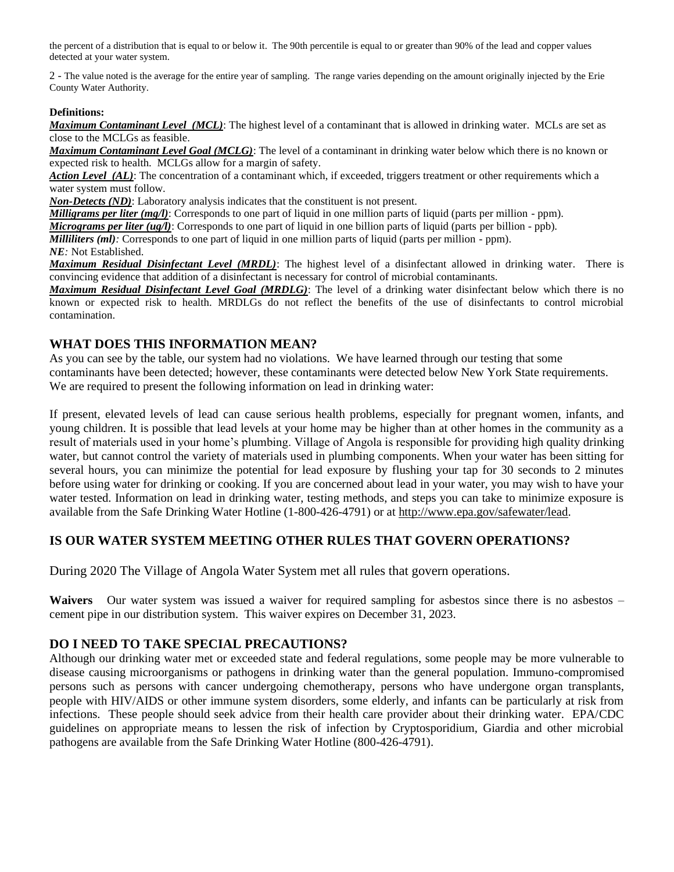the percent of a distribution that is equal to or below it. The 90th percentile is equal to or greater than 90% of the lead and copper values detected at your water system.

2 - The value noted is the average for the entire year of sampling. The range varies depending on the amount originally injected by the Erie County Water Authority.

#### **Definitions:**

*Maximum Contaminant Level (MCL)*: The highest level of a contaminant that is allowed in drinking water. MCLs are set as close to the MCLGs as feasible.

*Maximum Contaminant Level Goal (MCLG)*: The level of a contaminant in drinking water below which there is no known or expected risk to health. MCLGs allow for a margin of safety.

*Action Level (AL)*: The concentration of a contaminant which, if exceeded, triggers treatment or other requirements which a water system must follow.

*Non-Detects (ND)*: Laboratory analysis indicates that the constituent is not present.

*Milligrams per liter (mg/l)*: Corresponds to one part of liquid in one million parts of liquid (parts per million - ppm).

*Micrograms per liter (ug/l)*: Corresponds to one part of liquid in one billion parts of liquid (parts per billion - ppb).

*Milliliters (ml):* Corresponds to one part of liquid in one million parts of liquid (parts per million - ppm).

*NE:* Not Established.

*Maximum Residual Disinfectant Level (MRDL)*: The highest level of a disinfectant allowed in drinking water. There is convincing evidence that addition of a disinfectant is necessary for control of microbial contaminants.

*Maximum Residual Disinfectant Level Goal (MRDLG)*: The level of a drinking water disinfectant below which there is no known or expected risk to health. MRDLGs do not reflect the benefits of the use of disinfectants to control microbial contamination.

#### **WHAT DOES THIS INFORMATION MEAN?**

As you can see by the table, our system had no violations. We have learned through our testing that some contaminants have been detected; however, these contaminants were detected below New York State requirements. We are required to present the following information on lead in drinking water:

If present, elevated levels of lead can cause serious health problems, especially for pregnant women, infants, and young children. It is possible that lead levels at your home may be higher than at other homes in the community as a result of materials used in your home's plumbing. Village of Angola is responsible for providing high quality drinking water, but cannot control the variety of materials used in plumbing components. When your water has been sitting for several hours, you can minimize the potential for lead exposure by flushing your tap for 30 seconds to 2 minutes before using water for drinking or cooking. If you are concerned about lead in your water, you may wish to have your water tested. Information on lead in drinking water, testing methods, and steps you can take to minimize exposure is available from the Safe Drinking Water Hotline (1-800-426-4791) or at http://www.epa.gov/safewater/lead.

## **IS OUR WATER SYSTEM MEETING OTHER RULES THAT GOVERN OPERATIONS?**

During 2020 The Village of Angola Water System met all rules that govern operations.

Waivers Our water system was issued a waiver for required sampling for asbestos since there is no asbestos – cement pipe in our distribution system. This waiver expires on December 31, 2023.

#### **DO I NEED TO TAKE SPECIAL PRECAUTIONS?**

Although our drinking water met or exceeded state and federal regulations, some people may be more vulnerable to disease causing microorganisms or pathogens in drinking water than the general population. Immuno-compromised persons such as persons with cancer undergoing chemotherapy, persons who have undergone organ transplants, people with HIV/AIDS or other immune system disorders, some elderly, and infants can be particularly at risk from infections. These people should seek advice from their health care provider about their drinking water. EPA/CDC guidelines on appropriate means to lessen the risk of infection by Cryptosporidium, Giardia and other microbial pathogens are available from the Safe Drinking Water Hotline (800-426-4791).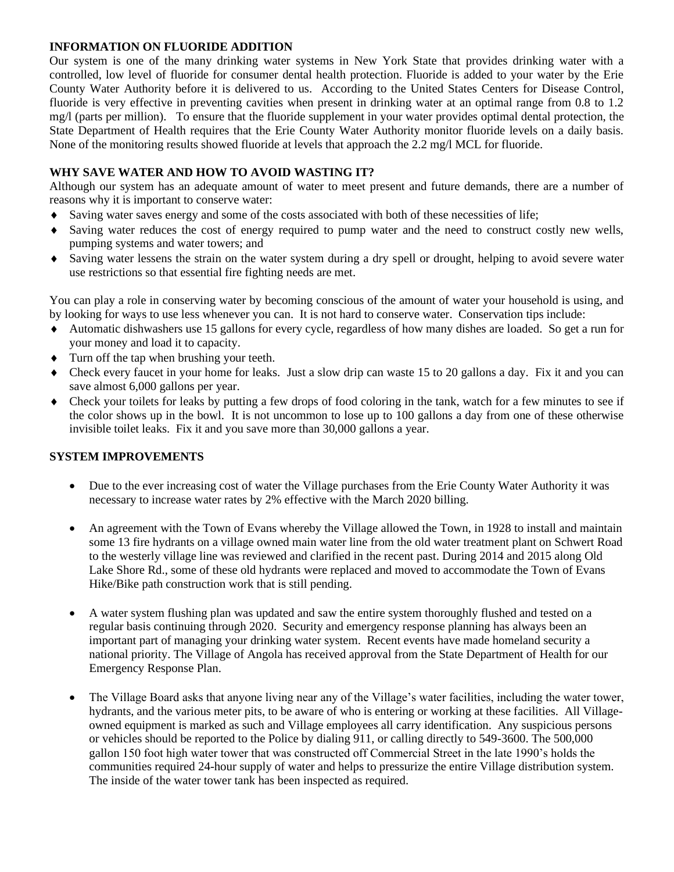#### **INFORMATION ON FLUORIDE ADDITION**

Our system is one of the many drinking water systems in New York State that provides drinking water with a controlled, low level of fluoride for consumer dental health protection. Fluoride is added to your water by the Erie County Water Authority before it is delivered to us. According to the United States Centers for Disease Control, fluoride is very effective in preventing cavities when present in drinking water at an optimal range from 0.8 to 1.2 mg/l (parts per million). To ensure that the fluoride supplement in your water provides optimal dental protection, the State Department of Health requires that the Erie County Water Authority monitor fluoride levels on a daily basis. None of the monitoring results showed fluoride at levels that approach the 2.2 mg/l MCL for fluoride.

#### **WHY SAVE WATER AND HOW TO AVOID WASTING IT?**

Although our system has an adequate amount of water to meet present and future demands, there are a number of reasons why it is important to conserve water:

- Saving water saves energy and some of the costs associated with both of these necessities of life;
- Saving water reduces the cost of energy required to pump water and the need to construct costly new wells, pumping systems and water towers; and
- Saving water lessens the strain on the water system during a dry spell or drought, helping to avoid severe water use restrictions so that essential fire fighting needs are met.

You can play a role in conserving water by becoming conscious of the amount of water your household is using, and by looking for ways to use less whenever you can. It is not hard to conserve water. Conservation tips include:

- Automatic dishwashers use 15 gallons for every cycle, regardless of how many dishes are loaded. So get a run for your money and load it to capacity.
- Turn off the tap when brushing your teeth.
- Check every faucet in your home for leaks. Just a slow drip can waste 15 to 20 gallons a day. Fix it and you can save almost 6,000 gallons per year.
- Check your toilets for leaks by putting a few drops of food coloring in the tank, watch for a few minutes to see if the color shows up in the bowl. It is not uncommon to lose up to 100 gallons a day from one of these otherwise invisible toilet leaks. Fix it and you save more than 30,000 gallons a year.

## **SYSTEM IMPROVEMENTS**

- Due to the ever increasing cost of water the Village purchases from the Erie County Water Authority it was necessary to increase water rates by 2% effective with the March 2020 billing.
- An agreement with the Town of Evans whereby the Village allowed the Town, in 1928 to install and maintain some 13 fire hydrants on a village owned main water line from the old water treatment plant on Schwert Road to the westerly village line was reviewed and clarified in the recent past. During 2014 and 2015 along Old Lake Shore Rd., some of these old hydrants were replaced and moved to accommodate the Town of Evans Hike/Bike path construction work that is still pending.
- A water system flushing plan was updated and saw the entire system thoroughly flushed and tested on a regular basis continuing through 2020. Security and emergency response planning has always been an important part of managing your drinking water system. Recent events have made homeland security a national priority. The Village of Angola has received approval from the State Department of Health for our Emergency Response Plan.
- The Village Board asks that anyone living near any of the Village's water facilities, including the water tower, hydrants, and the various meter pits, to be aware of who is entering or working at these facilities. All Villageowned equipment is marked as such and Village employees all carry identification. Any suspicious persons or vehicles should be reported to the Police by dialing 911, or calling directly to 549-3600. The 500,000 gallon 150 foot high water tower that was constructed off Commercial Street in the late 1990's holds the communities required 24-hour supply of water and helps to pressurize the entire Village distribution system. The inside of the water tower tank has been inspected as required.